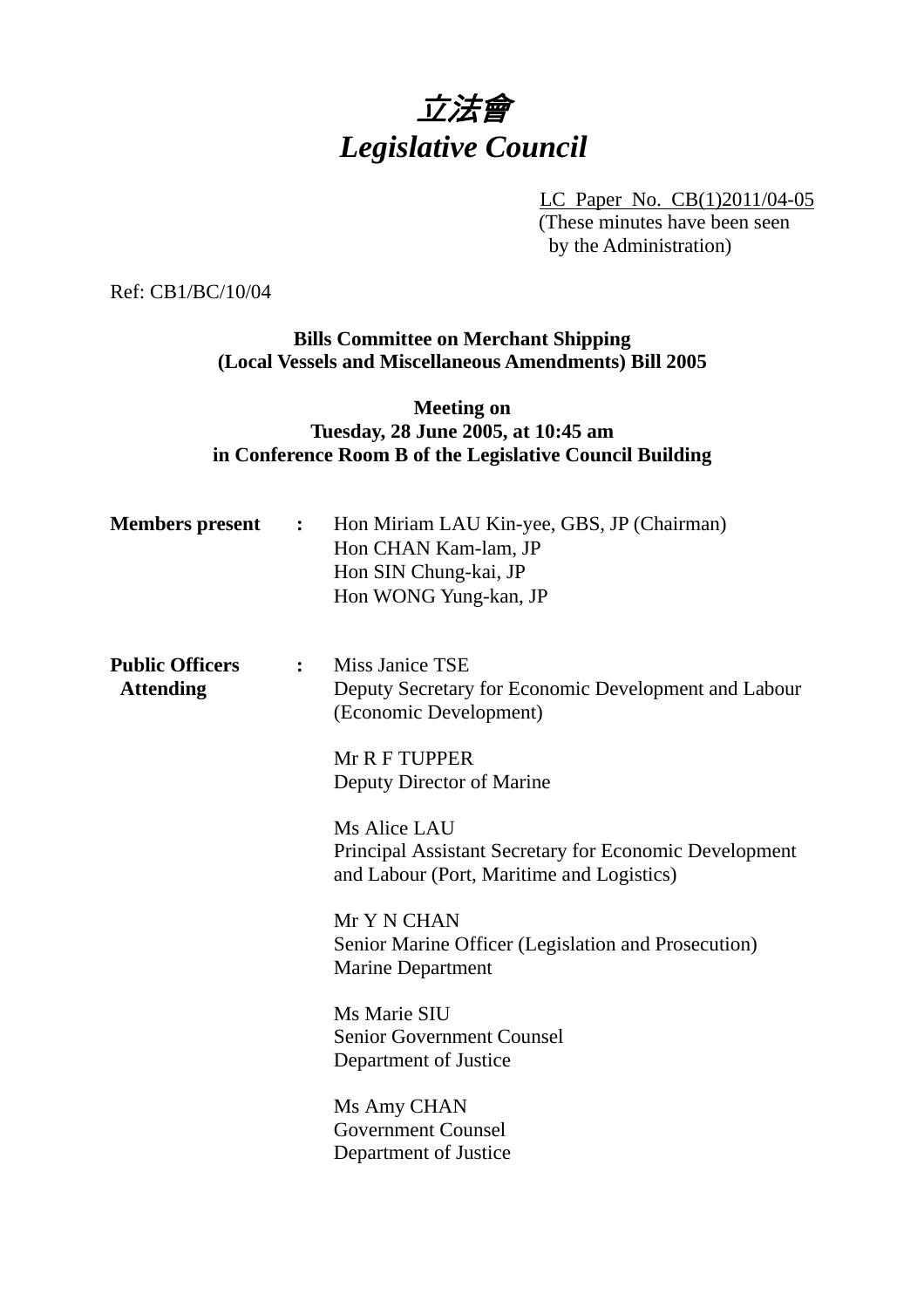# 立法會 *Legislative Council*

LC Paper No. CB(1)2011/04-05 (These minutes have been seen by the Administration)

Ref: CB1/BC/10/04

# **Bills Committee on Merchant Shipping (Local Vessels and Miscellaneous Amendments) Bill 2005**

# **Meeting on Tuesday, 28 June 2005, at 10:45 am in Conference Room B of the Legislative Council Building**

| <b>Members present</b>                     | $\ddot{\bullet}$ | Hon Miriam LAU Kin-yee, GBS, JP (Chairman)<br>Hon CHAN Kam-lam, JP<br>Hon SIN Chung-kai, JP<br>Hon WONG Yung-kan, JP |
|--------------------------------------------|------------------|----------------------------------------------------------------------------------------------------------------------|
| <b>Public Officers</b><br><b>Attending</b> | $\ddot{\bullet}$ | Miss Janice TSE<br>Deputy Secretary for Economic Development and Labour<br>(Economic Development)                    |
|                                            |                  | Mr R F TUPPER<br>Deputy Director of Marine                                                                           |
|                                            |                  | Ms Alice LAU<br>Principal Assistant Secretary for Economic Development<br>and Labour (Port, Maritime and Logistics)  |
|                                            |                  | Mr Y N CHAN<br>Senior Marine Officer (Legislation and Prosecution)<br><b>Marine Department</b>                       |
|                                            |                  | Ms Marie SIU<br><b>Senior Government Counsel</b><br>Department of Justice                                            |
|                                            |                  | Ms Amy CHAN<br><b>Government Counsel</b><br>Department of Justice                                                    |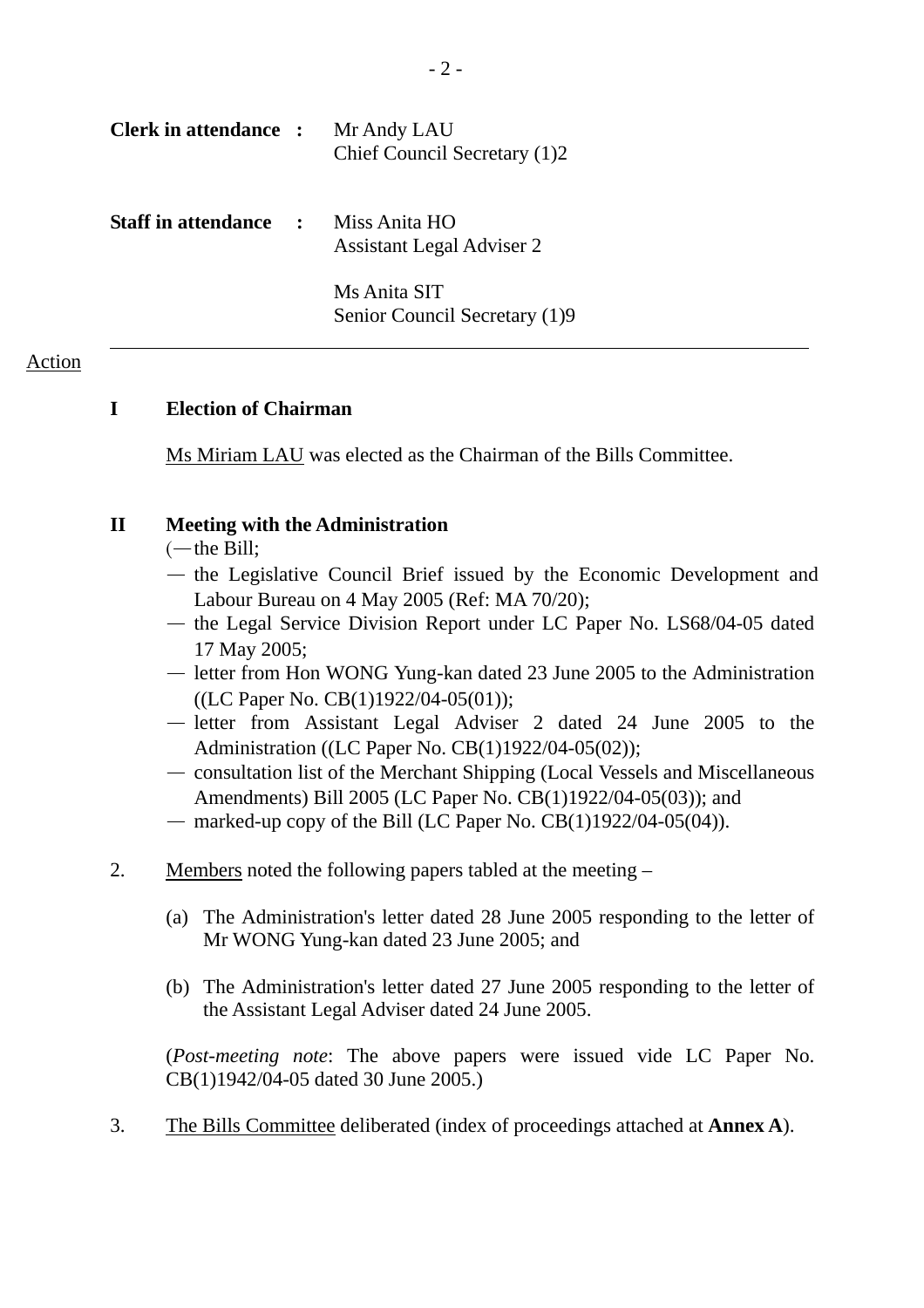| <b>Clerk in attendance :</b> |                | Mr Andy LAU<br>Chief Council Secretary (1)2       |
|------------------------------|----------------|---------------------------------------------------|
| <b>Staff in attendance</b>   | $\mathbb{R}^2$ | Miss Anita HO<br><b>Assistant Legal Adviser 2</b> |
|                              |                | Ms Anita SIT<br>Senior Council Secretary (1)9     |

## Action

# **I Election of Chairman**

Ms Miriam LAU was elected as the Chairman of the Bills Committee.

## **II Meeting with the Administration**

- $(-$ the Bill;
- the Legislative Council Brief issued by the Economic Development and Labour Bureau on 4 May 2005 (Ref: MA 70/20);
- the Legal Service Division Report under LC Paper No. LS68/04-05 dated 17 May 2005;
- letter from Hon WONG Yung-kan dated 23 June 2005 to the Administration ((LC Paper No. CB(1)1922/04-05(01));
- letter from Assistant Legal Adviser 2 dated 24 June 2005 to the Administration ((LC Paper No. CB(1)1922/04-05(02));
- consultation list of the Merchant Shipping (Local Vessels and Miscellaneous Amendments) Bill 2005 (LC Paper No. CB(1)1922/04-05(03)); and
- marked-up copy of the Bill (LC Paper No.  $CB(1)1922/04-05(04)$ ).
- 2. Members noted the following papers tabled at the meeting
	- (a) The Administration's letter dated 28 June 2005 responding to the letter of Mr WONG Yung-kan dated 23 June 2005; and
	- (b) The Administration's letter dated 27 June 2005 responding to the letter of the Assistant Legal Adviser dated 24 June 2005.

(*Post-meeting note*: The above papers were issued vide LC Paper No. CB(1)1942/04-05 dated 30 June 2005.)

3. The Bills Committee deliberated (index of proceedings attached at **Annex A**).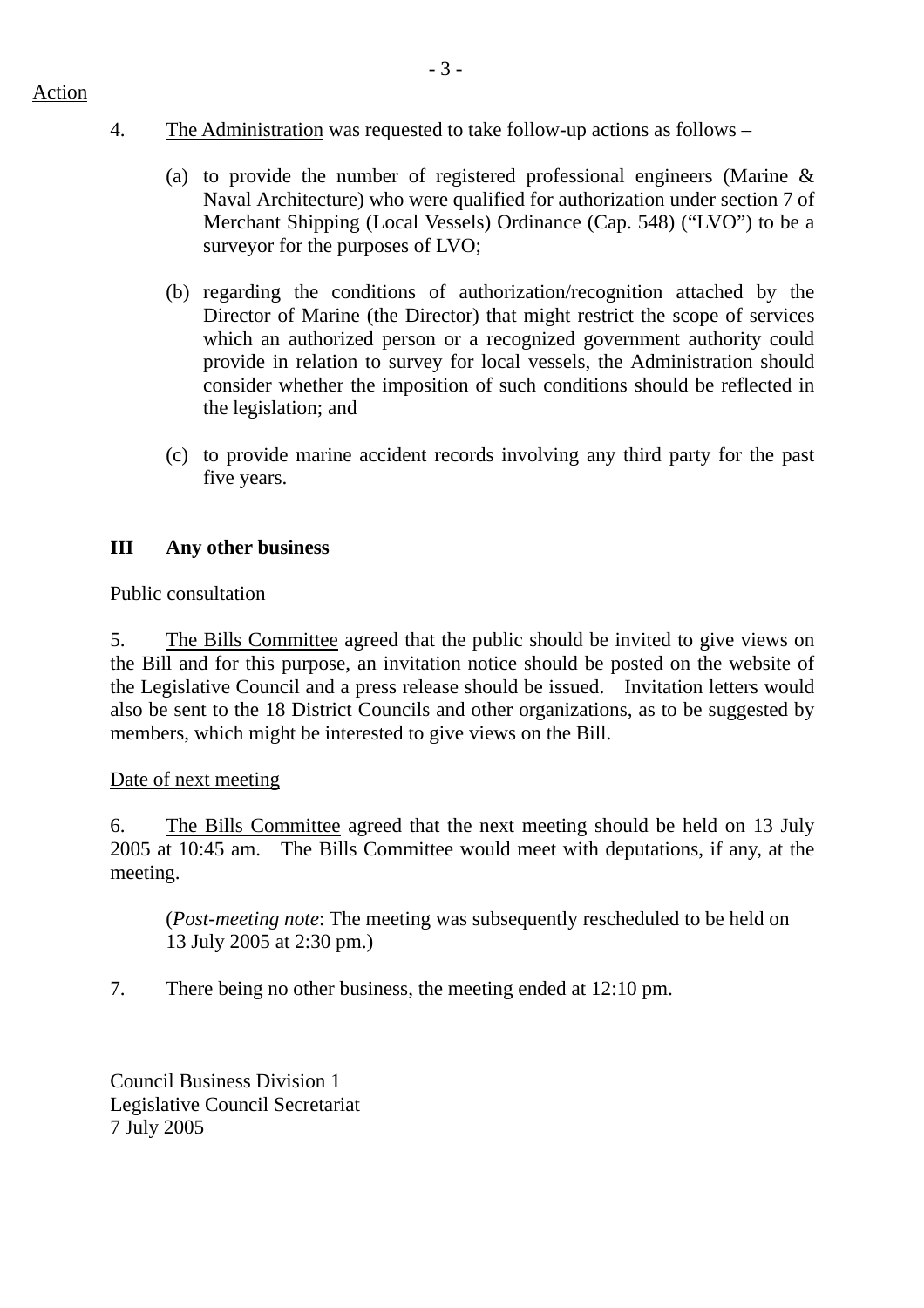- 4. The Administration was requested to take follow-up actions as follows
	- (a) to provide the number of registered professional engineers (Marine  $\&$ Naval Architecture) who were qualified for authorization under section 7 of Merchant Shipping (Local Vessels) Ordinance (Cap. 548) ("LVO") to be a surveyor for the purposes of LVO;
	- (b) regarding the conditions of authorization/recognition attached by the Director of Marine (the Director) that might restrict the scope of services which an authorized person or a recognized government authority could provide in relation to survey for local vessels, the Administration should consider whether the imposition of such conditions should be reflected in the legislation; and
	- (c) to provide marine accident records involving any third party for the past five years.

# **III Any other business**

## Public consultation

5. The Bills Committee agreed that the public should be invited to give views on the Bill and for this purpose, an invitation notice should be posted on the website of the Legislative Council and a press release should be issued. Invitation letters would also be sent to the 18 District Councils and other organizations, as to be suggested by members, which might be interested to give views on the Bill.

## Date of next meeting

6. The Bills Committee agreed that the next meeting should be held on 13 July 2005 at 10:45 am. The Bills Committee would meet with deputations, if any, at the meeting.

(*Post-meeting note*: The meeting was subsequently rescheduled to be held on 13 July 2005 at 2:30 pm.)

7. There being no other business, the meeting ended at 12:10 pm.

Council Business Division 1 Legislative Council Secretariat 7 July 2005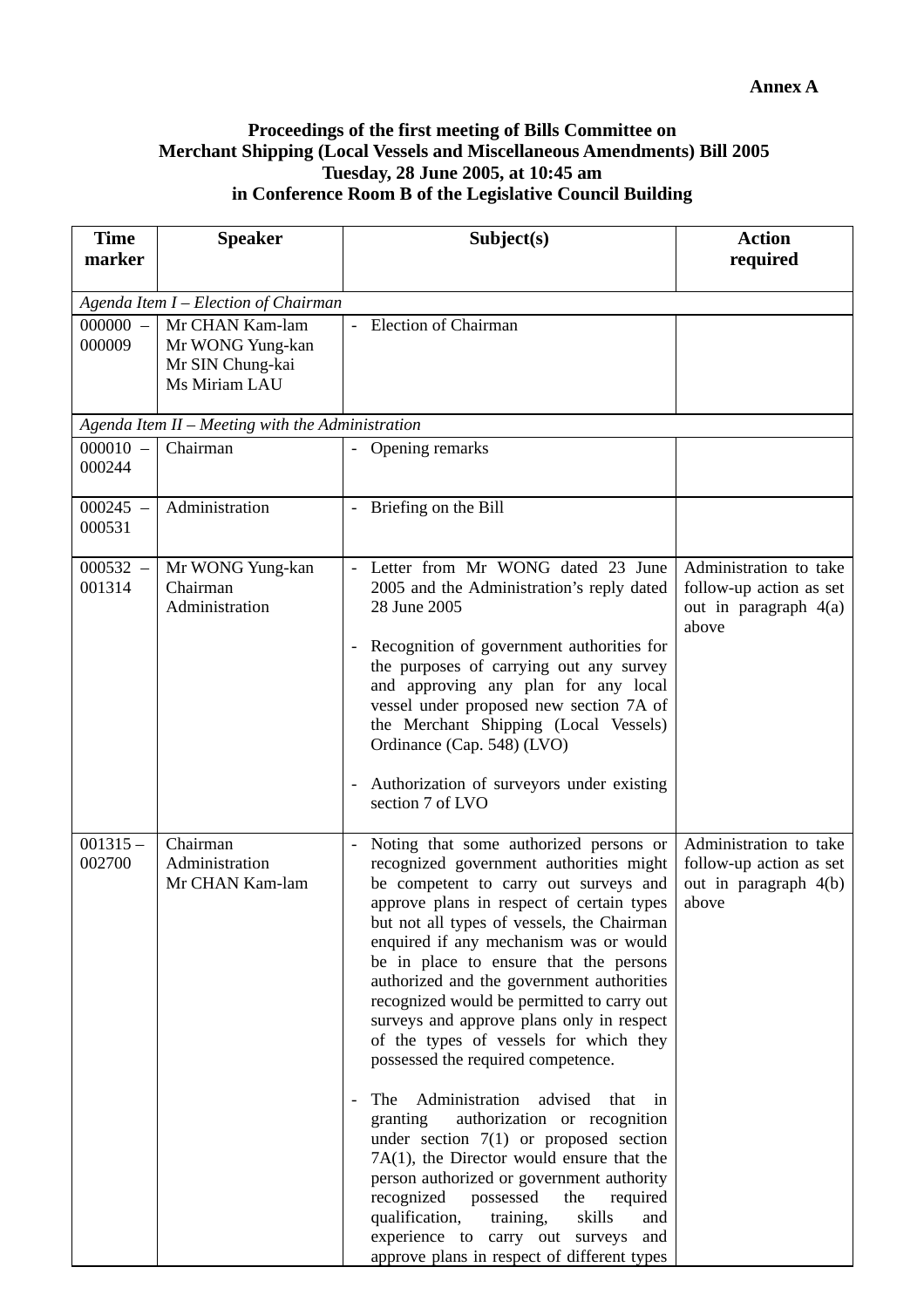## **Proceedings of the first meeting of Bills Committee on Merchant Shipping (Local Vessels and Miscellaneous Amendments) Bill 2005 Tuesday, 28 June 2005, at 10:45 am in Conference Room B of the Legislative Council Building**

| <b>Time</b><br>marker | <b>Speaker</b>                                                           | Subject(s)                                                                                                                                                                                                                                                                                                                                                                                                                                                                                                                                                                                                                                                                                                                                                                                                                                                                                                                                                      | <b>Action</b><br>required                                                           |  |  |
|-----------------------|--------------------------------------------------------------------------|-----------------------------------------------------------------------------------------------------------------------------------------------------------------------------------------------------------------------------------------------------------------------------------------------------------------------------------------------------------------------------------------------------------------------------------------------------------------------------------------------------------------------------------------------------------------------------------------------------------------------------------------------------------------------------------------------------------------------------------------------------------------------------------------------------------------------------------------------------------------------------------------------------------------------------------------------------------------|-------------------------------------------------------------------------------------|--|--|
|                       | Agenda Item I - Election of Chairman                                     |                                                                                                                                                                                                                                                                                                                                                                                                                                                                                                                                                                                                                                                                                                                                                                                                                                                                                                                                                                 |                                                                                     |  |  |
| $000000 -$<br>000009  | Mr CHAN Kam-lam<br>Mr WONG Yung-kan<br>Mr SIN Chung-kai<br>Ms Miriam LAU | <b>Election of Chairman</b>                                                                                                                                                                                                                                                                                                                                                                                                                                                                                                                                                                                                                                                                                                                                                                                                                                                                                                                                     |                                                                                     |  |  |
|                       | Agenda Item II - Meeting with the Administration                         |                                                                                                                                                                                                                                                                                                                                                                                                                                                                                                                                                                                                                                                                                                                                                                                                                                                                                                                                                                 |                                                                                     |  |  |
| $000010 -$<br>000244  | Chairman                                                                 | Opening remarks                                                                                                                                                                                                                                                                                                                                                                                                                                                                                                                                                                                                                                                                                                                                                                                                                                                                                                                                                 |                                                                                     |  |  |
| $000245 -$<br>000531  | Administration                                                           | Briefing on the Bill                                                                                                                                                                                                                                                                                                                                                                                                                                                                                                                                                                                                                                                                                                                                                                                                                                                                                                                                            |                                                                                     |  |  |
| $000532 -$<br>001314  | Mr WONG Yung-kan<br>Chairman<br>Administration                           | Letter from Mr WONG dated 23 June<br>2005 and the Administration's reply dated<br>28 June 2005<br>Recognition of government authorities for<br>the purposes of carrying out any survey<br>and approving any plan for any local<br>vessel under proposed new section 7A of<br>the Merchant Shipping (Local Vessels)<br>Ordinance (Cap. 548) (LVO)<br>Authorization of surveyors under existing<br>section 7 of LVO                                                                                                                                                                                                                                                                                                                                                                                                                                                                                                                                               | Administration to take<br>follow-up action as set<br>out in paragraph 4(a)<br>above |  |  |
| $001315 -$<br>002700  | Chairman<br>Administration<br>Mr CHAN Kam-lam                            | Noting that some authorized persons or<br>recognized government authorities might<br>be competent to carry out surveys and<br>approve plans in respect of certain types<br>but not all types of vessels, the Chairman<br>enquired if any mechanism was or would<br>be in place to ensure that the persons<br>authorized and the government authorities<br>recognized would be permitted to carry out<br>surveys and approve plans only in respect<br>of the types of vessels for which they<br>possessed the required competence.<br>Administration<br>advised<br>The<br>that<br>in<br>authorization or recognition<br>granting<br>under section $7(1)$ or proposed section<br>$7A(1)$ , the Director would ensure that the<br>person authorized or government authority<br>recognized<br>possessed<br>the<br>required<br>skills<br>qualification,<br>training,<br>and<br>experience to carry out surveys<br>and<br>approve plans in respect of different types | Administration to take<br>follow-up action as set<br>out in paragraph 4(b)<br>above |  |  |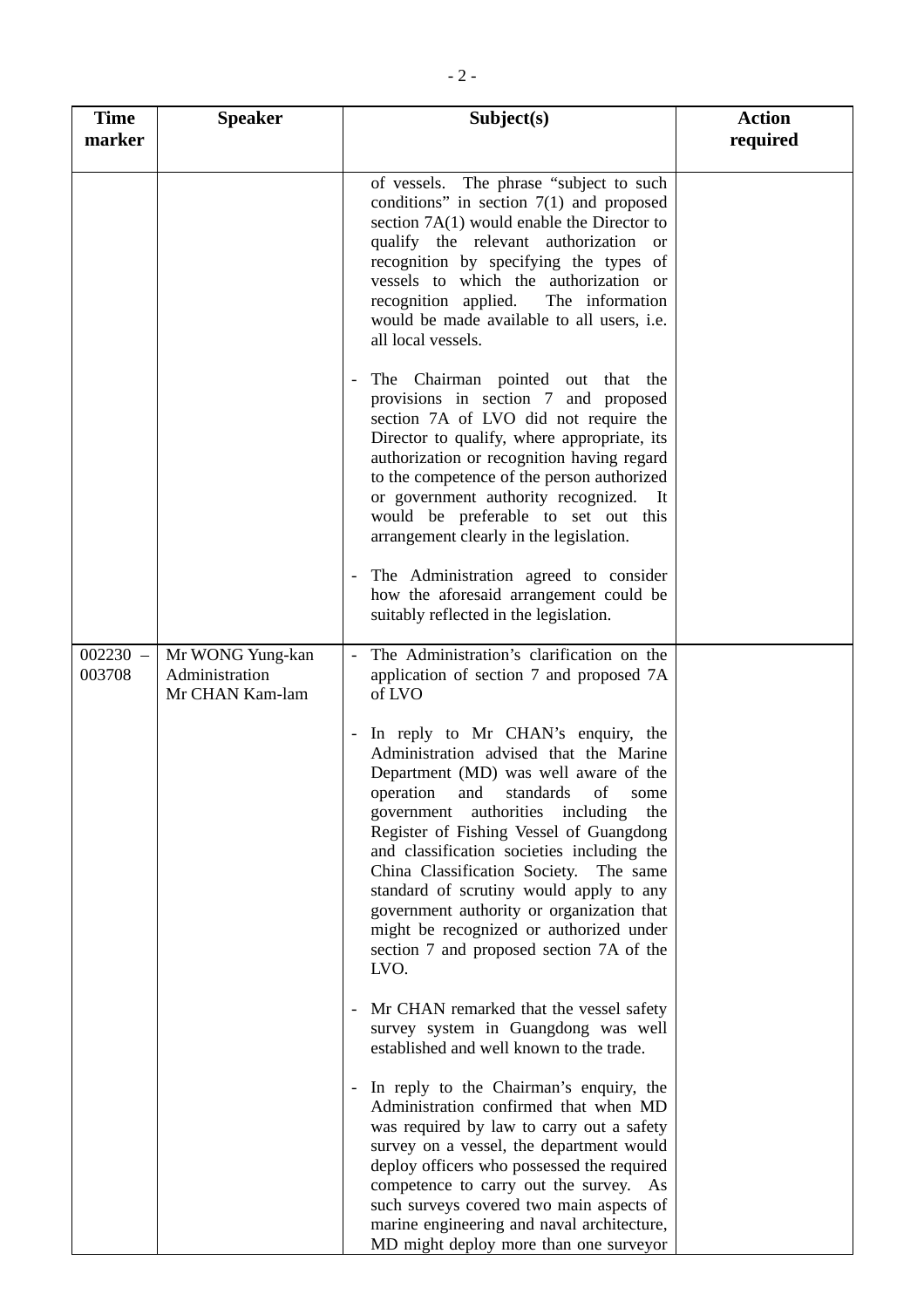| <b>Time</b><br>marker | <b>Speaker</b>                                        | Subject(s)                                                                                                                                                                                                                                                                                                                                                                                                                                                                                                                                                   | <b>Action</b><br>required |
|-----------------------|-------------------------------------------------------|--------------------------------------------------------------------------------------------------------------------------------------------------------------------------------------------------------------------------------------------------------------------------------------------------------------------------------------------------------------------------------------------------------------------------------------------------------------------------------------------------------------------------------------------------------------|---------------------------|
|                       |                                                       | of vessels. The phrase "subject to such<br>conditions" in section $7(1)$ and proposed<br>section $7A(1)$ would enable the Director to<br>qualify the relevant authorization or<br>recognition by specifying the types of<br>vessels to which the authorization or<br>recognition applied.<br>The information<br>would be made available to all users, i.e.<br>all local vessels.                                                                                                                                                                             |                           |
|                       |                                                       | The Chairman pointed out that the<br>provisions in section 7 and proposed<br>section 7A of LVO did not require the<br>Director to qualify, where appropriate, its<br>authorization or recognition having regard<br>to the competence of the person authorized<br>or government authority recognized.<br>It It<br>would be preferable to set out this<br>arrangement clearly in the legislation.                                                                                                                                                              |                           |
|                       |                                                       | The Administration agreed to consider<br>how the aforesaid arrangement could be<br>suitably reflected in the legislation.                                                                                                                                                                                                                                                                                                                                                                                                                                    |                           |
| $002230 -$<br>003708  | Mr WONG Yung-kan<br>Administration<br>Mr CHAN Kam-lam | The Administration's clarification on the<br>application of section 7 and proposed 7A<br>of LVO                                                                                                                                                                                                                                                                                                                                                                                                                                                              |                           |
|                       |                                                       | In reply to Mr CHAN's enquiry, the<br>$\overline{\phantom{a}}$<br>Administration advised that the Marine<br>Department (MD) was well aware of the<br>operation and standards of<br>some<br>government authorities including<br>the<br>Register of Fishing Vessel of Guangdong<br>and classification societies including the<br>China Classification Society. The same<br>standard of scrutiny would apply to any<br>government authority or organization that<br>might be recognized or authorized under<br>section 7 and proposed section 7A of the<br>LVO. |                           |
|                       |                                                       | Mr CHAN remarked that the vessel safety<br>$\overline{\phantom{a}}$<br>survey system in Guangdong was well<br>established and well known to the trade.                                                                                                                                                                                                                                                                                                                                                                                                       |                           |
|                       |                                                       | In reply to the Chairman's enquiry, the<br>$\overline{\phantom{a}}$<br>Administration confirmed that when MD<br>was required by law to carry out a safety<br>survey on a vessel, the department would<br>deploy officers who possessed the required<br>competence to carry out the survey. As<br>such surveys covered two main aspects of<br>marine engineering and naval architecture,<br>MD might deploy more than one surveyor                                                                                                                            |                           |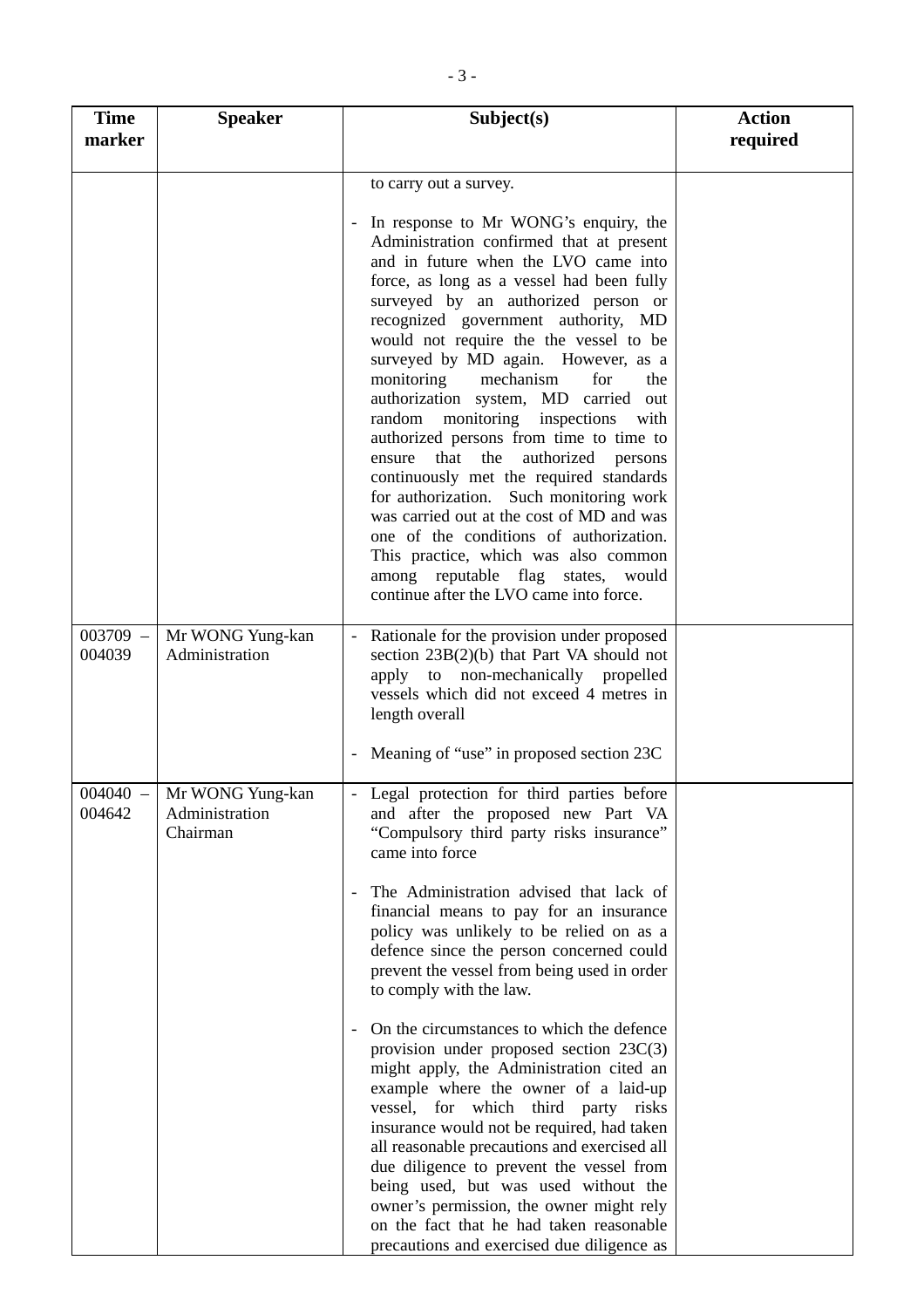| <b>Time</b><br>marker | <b>Speaker</b>                                            | Subject(s)                                                                                                                                                                                                                                                                                                                                                                                                                                                                                                                                                                                                                                                                                                                                                                                                                                                          | <b>Action</b><br>required |
|-----------------------|-----------------------------------------------------------|---------------------------------------------------------------------------------------------------------------------------------------------------------------------------------------------------------------------------------------------------------------------------------------------------------------------------------------------------------------------------------------------------------------------------------------------------------------------------------------------------------------------------------------------------------------------------------------------------------------------------------------------------------------------------------------------------------------------------------------------------------------------------------------------------------------------------------------------------------------------|---------------------------|
|                       |                                                           | to carry out a survey.                                                                                                                                                                                                                                                                                                                                                                                                                                                                                                                                                                                                                                                                                                                                                                                                                                              |                           |
|                       |                                                           | In response to Mr WONG's enquiry, the<br>Administration confirmed that at present<br>and in future when the LVO came into<br>force, as long as a vessel had been fully<br>surveyed by an authorized person or<br>recognized government authority, MD<br>would not require the the vessel to be<br>surveyed by MD again. However, as a<br>mechanism<br>monitoring<br>for<br>the<br>authorization system, MD carried out<br>random monitoring inspections<br>with<br>authorized persons from time to time to<br>authorized<br>that<br>the<br>persons<br>ensure<br>continuously met the required standards<br>for authorization. Such monitoring work<br>was carried out at the cost of MD and was<br>one of the conditions of authorization.<br>This practice, which was also common<br>among reputable flag states, would<br>continue after the LVO came into force. |                           |
| $003709 -$<br>004039  | Mr WONG Yung-kan<br>Administration                        | Rationale for the provision under proposed<br>section $23B(2)(b)$ that Part VA should not<br>apply to non-mechanically propelled<br>vessels which did not exceed 4 metres in<br>length overall                                                                                                                                                                                                                                                                                                                                                                                                                                                                                                                                                                                                                                                                      |                           |
|                       |                                                           | Meaning of "use" in proposed section 23C                                                                                                                                                                                                                                                                                                                                                                                                                                                                                                                                                                                                                                                                                                                                                                                                                            |                           |
| 004642                | 004040 -   Mr WONG Yung-kan<br>Administration<br>Chairman | Legal protection for third parties before<br>and after the proposed new Part VA<br>"Compulsory third party risks insurance"<br>came into force                                                                                                                                                                                                                                                                                                                                                                                                                                                                                                                                                                                                                                                                                                                      |                           |
|                       |                                                           | The Administration advised that lack of<br>financial means to pay for an insurance<br>policy was unlikely to be relied on as a<br>defence since the person concerned could<br>prevent the vessel from being used in order<br>to comply with the law.                                                                                                                                                                                                                                                                                                                                                                                                                                                                                                                                                                                                                |                           |
|                       |                                                           | On the circumstances to which the defence<br>provision under proposed section $23C(3)$<br>might apply, the Administration cited an<br>example where the owner of a laid-up<br>vessel, for which third party risks<br>insurance would not be required, had taken<br>all reasonable precautions and exercised all<br>due diligence to prevent the vessel from<br>being used, but was used without the<br>owner's permission, the owner might rely<br>on the fact that he had taken reasonable<br>precautions and exercised due diligence as                                                                                                                                                                                                                                                                                                                           |                           |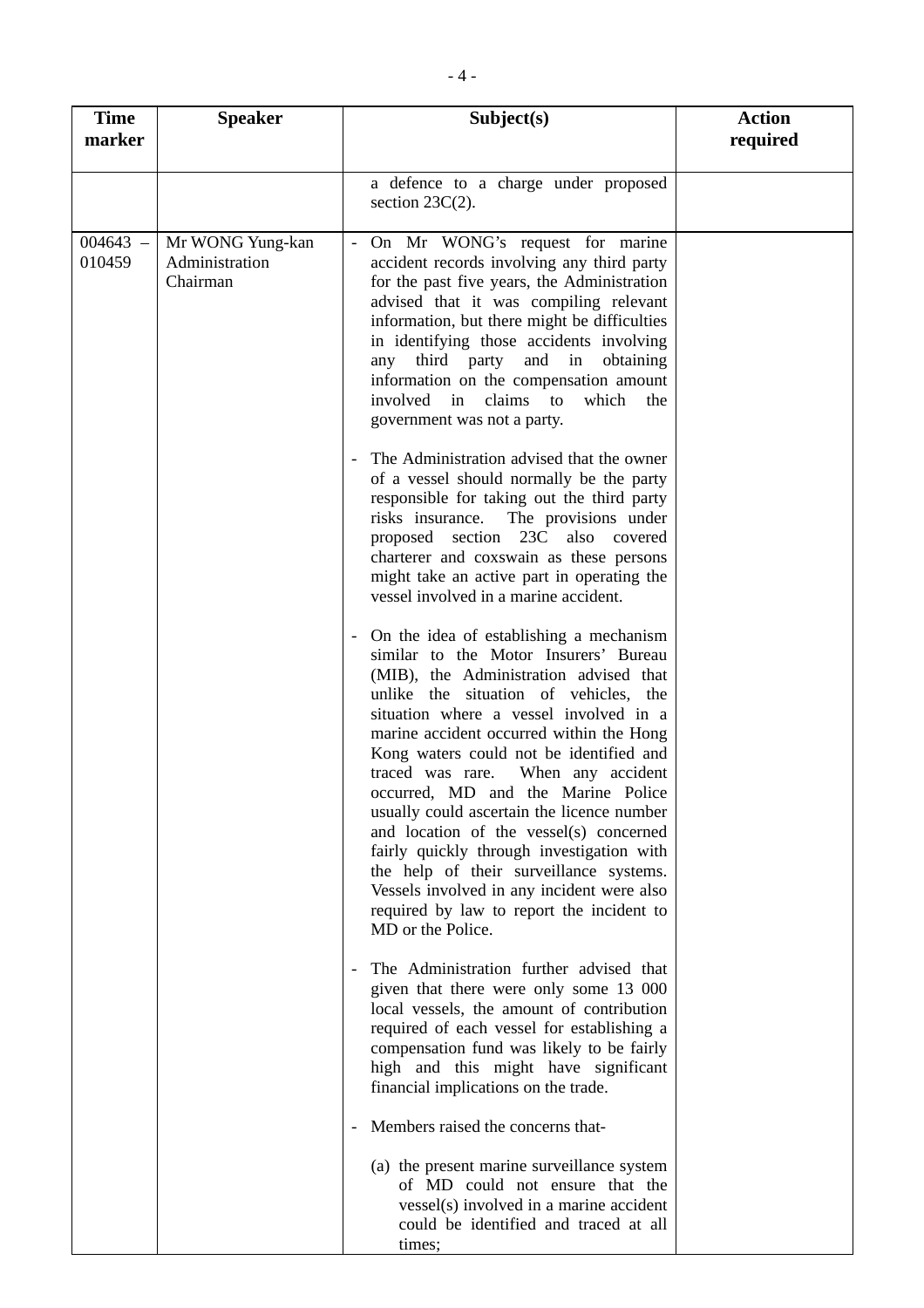| <b>Time</b><br>marker | <b>Speaker</b>                                 | Subject(s)                                                                                                                                                                                                                                                                                                                                                                                                                                                                                                                                                                                                                                                                           | <b>Action</b><br>required |
|-----------------------|------------------------------------------------|--------------------------------------------------------------------------------------------------------------------------------------------------------------------------------------------------------------------------------------------------------------------------------------------------------------------------------------------------------------------------------------------------------------------------------------------------------------------------------------------------------------------------------------------------------------------------------------------------------------------------------------------------------------------------------------|---------------------------|
|                       |                                                | a defence to a charge under proposed<br>section $23C(2)$ .                                                                                                                                                                                                                                                                                                                                                                                                                                                                                                                                                                                                                           |                           |
| $004643 -$<br>010459  | Mr WONG Yung-kan<br>Administration<br>Chairman | On Mr WONG's request for marine<br>accident records involving any third party<br>for the past five years, the Administration<br>advised that it was compiling relevant<br>information, but there might be difficulties<br>in identifying those accidents involving<br>third party and in obtaining<br>any<br>information on the compensation amount<br>involved in claims to<br>which<br>the<br>government was not a party.                                                                                                                                                                                                                                                          |                           |
|                       |                                                | The Administration advised that the owner<br>of a vessel should normally be the party<br>responsible for taking out the third party<br>The provisions under<br>risks insurance.<br>proposed section 23C also<br>covered<br>charterer and coxswain as these persons<br>might take an active part in operating the<br>vessel involved in a marine accident.                                                                                                                                                                                                                                                                                                                            |                           |
|                       |                                                | On the idea of establishing a mechanism<br>similar to the Motor Insurers' Bureau<br>(MIB), the Administration advised that<br>unlike the situation of vehicles, the<br>situation where a vessel involved in a<br>marine accident occurred within the Hong<br>Kong waters could not be identified and<br>When any accident<br>traced was rare.<br>occurred, MD and the Marine Police<br>usually could ascertain the licence number<br>and location of the vessel(s) concerned<br>fairly quickly through investigation with<br>the help of their surveillance systems.<br>Vessels involved in any incident were also<br>required by law to report the incident to<br>MD or the Police. |                           |
|                       |                                                | The Administration further advised that<br>given that there were only some 13 000<br>local vessels, the amount of contribution<br>required of each vessel for establishing a<br>compensation fund was likely to be fairly<br>high and this might have significant<br>financial implications on the trade.                                                                                                                                                                                                                                                                                                                                                                            |                           |
|                       |                                                | Members raised the concerns that-<br>(a) the present marine surveillance system<br>of MD could not ensure that the<br>vessel(s) involved in a marine accident<br>could be identified and traced at all<br>times;                                                                                                                                                                                                                                                                                                                                                                                                                                                                     |                           |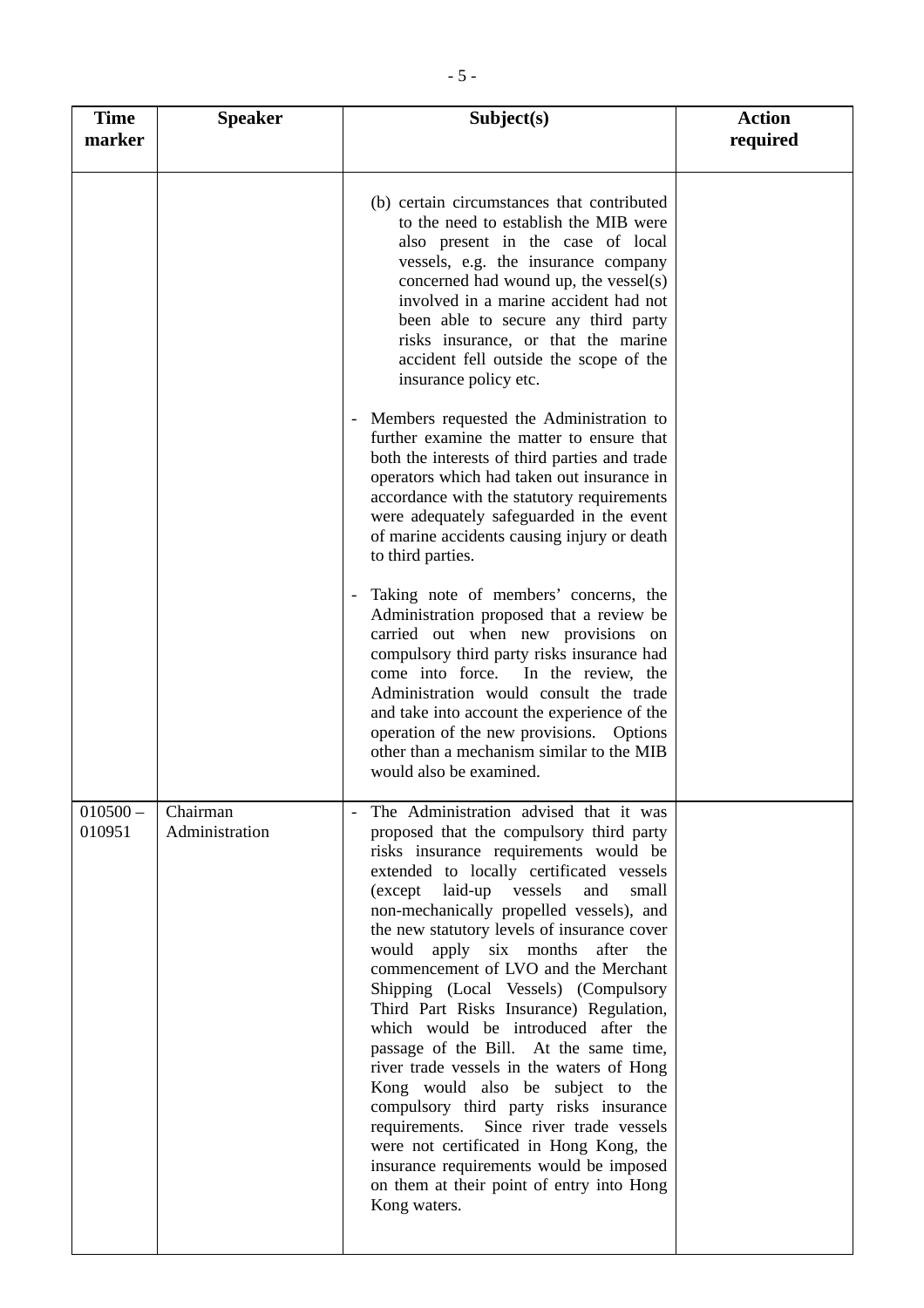| <b>Time</b><br>marker | <b>Speaker</b>             | Subject(s)                                                                                                                                                                                                                                                                                                                                                                                                                                                                                                                                                                                                                                                                                                                                                                                                                                                                                       | <b>Action</b><br>required |
|-----------------------|----------------------------|--------------------------------------------------------------------------------------------------------------------------------------------------------------------------------------------------------------------------------------------------------------------------------------------------------------------------------------------------------------------------------------------------------------------------------------------------------------------------------------------------------------------------------------------------------------------------------------------------------------------------------------------------------------------------------------------------------------------------------------------------------------------------------------------------------------------------------------------------------------------------------------------------|---------------------------|
|                       |                            | (b) certain circumstances that contributed<br>to the need to establish the MIB were<br>also present in the case of local<br>vessels, e.g. the insurance company<br>concerned had wound up, the vessel(s)<br>involved in a marine accident had not<br>been able to secure any third party<br>risks insurance, or that the marine<br>accident fell outside the scope of the<br>insurance policy etc.                                                                                                                                                                                                                                                                                                                                                                                                                                                                                               |                           |
|                       |                            | Members requested the Administration to<br>$\overline{\phantom{a}}$<br>further examine the matter to ensure that<br>both the interests of third parties and trade<br>operators which had taken out insurance in<br>accordance with the statutory requirements<br>were adequately safeguarded in the event<br>of marine accidents causing injury or death<br>to third parties.                                                                                                                                                                                                                                                                                                                                                                                                                                                                                                                    |                           |
|                       |                            | Taking note of members' concerns, the<br>Administration proposed that a review be<br>carried out when new provisions on<br>compulsory third party risks insurance had<br>come into force.<br>In the review, the<br>Administration would consult the trade<br>and take into account the experience of the<br>operation of the new provisions. Options<br>other than a mechanism similar to the MIB<br>would also be examined.                                                                                                                                                                                                                                                                                                                                                                                                                                                                     |                           |
| $010500 -$<br>010951  | Chairman<br>Administration | The Administration advised that it was<br>proposed that the compulsory third party<br>risks insurance requirements would be<br>extended to locally certificated vessels<br>(except laid-up vessels<br>and<br>small<br>non-mechanically propelled vessels), and<br>the new statutory levels of insurance cover<br>would apply six months<br>after<br>the<br>commencement of LVO and the Merchant<br>Shipping (Local Vessels) (Compulsory<br>Third Part Risks Insurance) Regulation,<br>which would be introduced after the<br>passage of the Bill. At the same time,<br>river trade vessels in the waters of Hong<br>Kong would also be subject to the<br>compulsory third party risks insurance<br>requirements.<br>Since river trade vessels<br>were not certificated in Hong Kong, the<br>insurance requirements would be imposed<br>on them at their point of entry into Hong<br>Kong waters. |                           |